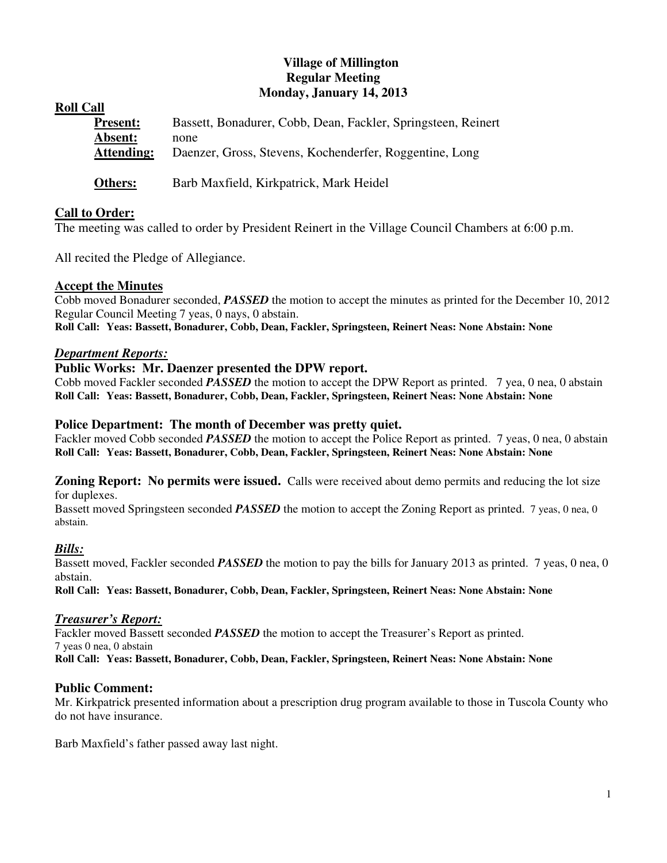# **Village of Millington Regular Meeting Monday, January 14, 2013**

**Roll Call**

| <b>Present:</b>       | Bassett, Bonadurer, Cobb, Dean, Fackler, Springsteen, Reinert   |
|-----------------------|-----------------------------------------------------------------|
| Absent:<br>Attending: | none<br>Daenzer, Gross, Stevens, Kochenderfer, Roggentine, Long |
| Others:               | Barb Maxfield, Kirkpatrick, Mark Heidel                         |

# **Call to Order:**

The meeting was called to order by President Reinert in the Village Council Chambers at 6:00 p.m.

All recited the Pledge of Allegiance.

## **Accept the Minutes**

Cobb moved Bonadurer seconded, *PASSED* the motion to accept the minutes as printed for the December 10, 2012 Regular Council Meeting 7 yeas, 0 nays, 0 abstain. **Roll Call: Yeas: Bassett, Bonadurer, Cobb, Dean, Fackler, Springsteen, Reinert Neas: None Abstain: None** 

## *Department Reports:*

## **Public Works: Mr. Daenzer presented the DPW report.**

Cobb moved Fackler seconded *PASSED* the motion to accept the DPW Report as printed. 7 yea, 0 nea, 0 abstain **Roll Call: Yeas: Bassett, Bonadurer, Cobb, Dean, Fackler, Springsteen, Reinert Neas: None Abstain: None** 

## **Police Department: The month of December was pretty quiet.**

Fackler moved Cobb seconded **PASSED** the motion to accept the Police Report as printed. 7 yeas, 0 nea, 0 abstain **Roll Call: Yeas: Bassett, Bonadurer, Cobb, Dean, Fackler, Springsteen, Reinert Neas: None Abstain: None** 

### **Zoning Report:** No permits were issued. Calls were received about demo permits and reducing the lot size for duplexes.

Bassett moved Springsteen seconded *PASSED* the motion to accept the Zoning Report as printed. 7 yeas, 0 nea, 0 abstain.

# *Bills:*

Bassett moved, Fackler seconded *PASSED* the motion to pay the bills for January 2013 as printed. 7 yeas, 0 nea, 0 abstain.

**Roll Call: Yeas: Bassett, Bonadurer, Cobb, Dean, Fackler, Springsteen, Reinert Neas: None Abstain: None** 

### *Treasurer's Report:*

Fackler moved Bassett seconded *PASSED* the motion to accept the Treasurer's Report as printed. 7 yeas 0 nea, 0 abstain **Roll Call: Yeas: Bassett, Bonadurer, Cobb, Dean, Fackler, Springsteen, Reinert Neas: None Abstain: None** 

### **Public Comment:**

Mr. Kirkpatrick presented information about a prescription drug program available to those in Tuscola County who do not have insurance.

Barb Maxfield's father passed away last night.